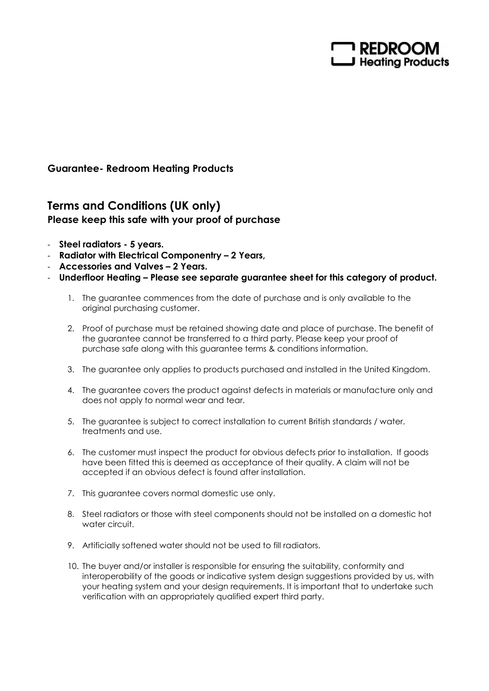

## Guarantee- Redroom Heating Products

## Terms and Conditions (UK only) Please keep this safe with your proof of purchase

- Steel radiators 5 years.
- Radiator with Electrical Componentry 2 Years,
- Accessories and Valves 2 Years.
- Underfloor Heating Please see separate guarantee sheet for this category of product.
	- 1. The guarantee commences from the date of purchase and is only available to the original purchasing customer.
	- 2. Proof of purchase must be retained showing date and place of purchase. The benefit of the guarantee cannot be transferred to a third party. Please keep your proof of purchase safe along with this guarantee terms & conditions information.
	- 3. The guarantee only applies to products purchased and installed in the United Kingdom.
	- 4. The guarantee covers the product against defects in materials or manufacture only and does not apply to normal wear and tear.
	- 5. The guarantee is subject to correct installation to current British standards / water. treatments and use.
	- 6. The customer must inspect the product for obvious defects prior to installation. If goods have been fitted this is deemed as acceptance of their quality. A claim will not be accepted if an obvious defect is found after installation.
	- 7. This guarantee covers normal domestic use only.
	- 8. Steel radiators or those with steel components should not be installed on a domestic hot water circuit.
	- 9. Artificially softened water should not be used to fill radiators.
	- 10. The buyer and/or installer is responsible for ensuring the suitability, conformity and interoperability of the goods or indicative system design suggestions provided by us, with your heating system and your design requirements. It is important that to undertake such verification with an appropriately qualified expert third party.